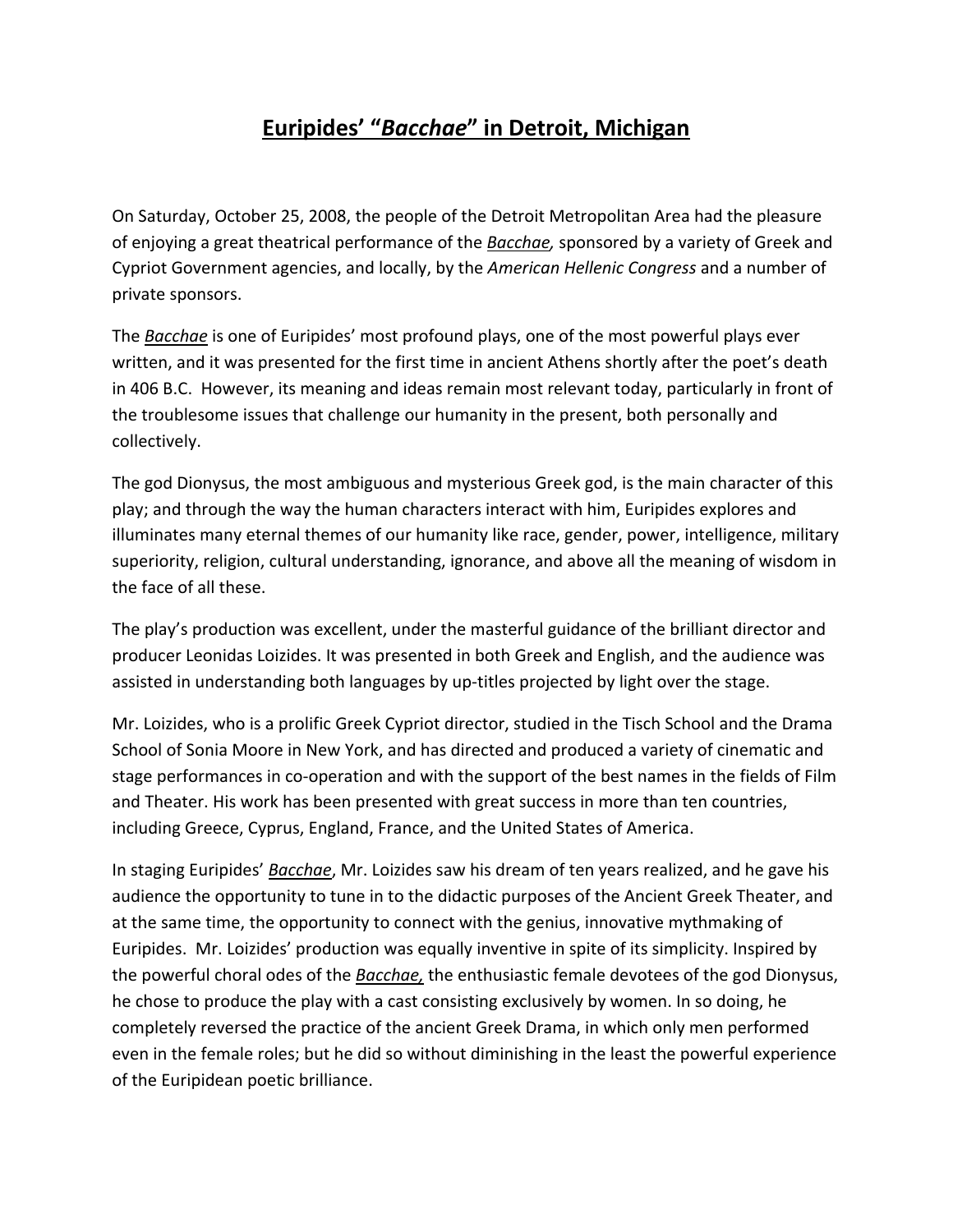## **Euripides' "***Bacchae***" in Detroit, Michigan**

On Saturday, October 25, 2008, the people of the Detroit Metropolitan Area had the pleasure of enjoying a great theatrical performance of the *Bacchae,* sponsored by a variety of Greek and Cypriot Government agencies, and locally, by the *American Hellenic Congress* and a number of private sponsors.

The *Bacchae* is one of Euripides' most profound plays, one of the most powerful plays ever written, and it was presented for the first time in ancient Athens shortly after the poet's death in 406 B.C. However, its meaning and ideas remain most relevant today, particularly in front of the troublesome issues that challenge our humanity in the present, both personally and collectively.

The god Dionysus, the most ambiguous and mysterious Greek god, is the main character of this play; and through the way the human characters interact with him, Euripides explores and illuminates many eternal themes of our humanity like race, gender, power, intelligence, military superiority, religion, cultural understanding, ignorance, and above all the meaning of wisdom in the face of all these.

The play's production was excellent, under the masterful guidance of the brilliant director and producer Leonidas Loizides. It was presented in both Greek and English, and the audience was assisted in understanding both languages by up-titles projected by light over the stage.

Mr. Loizides, who is a prolific Greek Cypriot director, studied in the Tisch School and the Drama School of Sonia Moore in New York, and has directed and produced a variety of cinematic and stage performances in co-operation and with the support of the best names in the fields of Film and Theater. His work has been presented with great success in more than ten countries, including Greece, Cyprus, England, France, and the United States of America.

In staging Euripides' *Bacchae*, Mr. Loizides saw his dream of ten years realized, and he gave his audience the opportunity to tune in to the didactic purposes of the Ancient Greek Theater, and at the same time, the opportunity to connect with the genius, innovative mythmaking of Euripides. Mr. Loizides' production was equally inventive in spite of its simplicity. Inspired by the powerful choral odes of the *Bacchae,* the enthusiastic female devotees of the god Dionysus, he chose to produce the play with a cast consisting exclusively by women. In so doing, he completely reversed the practice of the ancient Greek Drama, in which only men performed even in the female roles; but he did so without diminishing in the least the powerful experience of the Euripidean poetic brilliance.